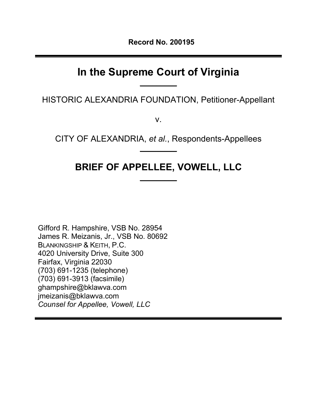# **In the Supreme Court of Virginia**

**\_\_\_\_\_\_\_\_\_**

HISTORIC ALEXANDRIA FOUNDATION, Petitioner-Appellant

v.

CITY OF ALEXANDRIA, *et al.*, Respondents-Appellees **\_\_\_\_\_\_\_\_\_**

# **BRIEF OF APPELLEE, VOWELL, LLC**

**\_\_\_\_\_\_\_\_\_**

Gifford R. Hampshire, VSB No. 28954 James R. Meizanis, Jr., VSB No. 80692 BLANKINGSHIP & KEITH, P.C. 4020 University Drive, Suite 300 Fairfax, Virginia 22030 (703) 691-1235 (telephone) (703) 691-3913 (facsimile) ghampshire@bklawva.com jmeizanis@bklawva.com *Counsel for Appellee, Vowell, LLC*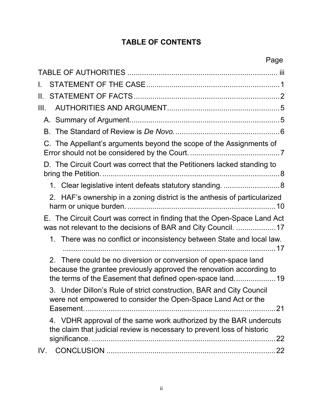# **TABLE OF CONTENTS**

<span id="page-1-0"></span>

| L.                                                                                                                                                                                                  |
|-----------------------------------------------------------------------------------------------------------------------------------------------------------------------------------------------------|
| II. I                                                                                                                                                                                               |
| III.                                                                                                                                                                                                |
|                                                                                                                                                                                                     |
|                                                                                                                                                                                                     |
| C. The Appellant's arguments beyond the scope of the Assignments of                                                                                                                                 |
| D. The Circuit Court was correct that the Petitioners lacked standing to                                                                                                                            |
| 1. Clear legislative intent defeats statutory standing8                                                                                                                                             |
| 2. HAF's ownership in a zoning district is the anthesis of particularized                                                                                                                           |
| E. The Circuit Court was correct in finding that the Open-Space Land Act<br>was not relevant to the decisions of BAR and City Council.  17                                                          |
| 1. There was no conflict or inconsistency between State and local law.                                                                                                                              |
| 2. There could be no diversion or conversion of open-space land<br>because the grantee previously approved the renovation according to<br>the terms of the Easement that defined open-space land 19 |
| 3. Under Dillon's Rule of strict construction, BAR and City Council<br>were not empowered to consider the Open-Space Land Act or the                                                                |
| 4. VDHR approval of the same work authorized by the BAR undercuts<br>the claim that judicial review is necessary to prevent loss of historic                                                        |
| IV.                                                                                                                                                                                                 |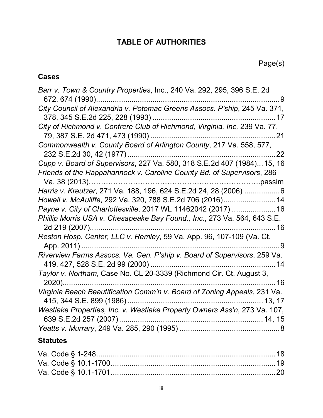# **TABLE OF AUTHORITIES**

# **Cases**

| Barr v. Town & Country Properties, Inc., 240 Va. 292, 295, 396 S.E. 2d<br>. 9                                |  |
|--------------------------------------------------------------------------------------------------------------|--|
| City Council of Alexandria v. Potomac Greens Assocs. P'ship, 245 Va. 371,<br>378, 345 S.E.2d 225, 228 (1993) |  |
| City of Richmond v. Confrere Club of Richmond, Virginia, Inc, 239 Va. 77,                                    |  |
| Commonwealth v. County Board of Arlington County, 217 Va. 558, 577,<br>232 S.E.2d 30, 42 (1977)<br>22        |  |
| Cupp v. Board of Supervisors, 227 Va. 580, 318 S.E.2d 407 (1984) 15, 16                                      |  |
| Friends of the Rappahannock v. Caroline County Bd. of Supervisors, 286<br>Va. 38 (2013)                      |  |
| Harris v. Kreutzer, 271 Va. 188, 196, 624 S.E.2d 24, 28 (2006) 6                                             |  |
| Howell v. McAuliffe, 292 Va. 320, 788 S.E.2d 706 (2016)14                                                    |  |
| Payne v. City of Charlottesville, 2017 WL 11462042 (2017) 16                                                 |  |
| Phillip Morris USA v. Chesapeake Bay Found., Inc., 273 Va. 564, 643 S.E.<br>2d 219 (2007)<br>……16            |  |
| Reston Hosp. Center, LLC v. Remley, 59 Va. App. 96, 107-109 (Va. Ct.<br>App. 2011)<br>.9                     |  |
| Riverview Farms Assocs. Va. Gen. P'ship v. Board of Supervisors, 259 Va.                                     |  |
| Taylor v. Northam, Case No. CL 20-3339 (Richmond Cir. Ct. August 3,<br>2020)<br>……16                         |  |
| Virginia Beach Beautification Comm'n v. Board of Zoning Appeals, 231 Va.                                     |  |
| Westlake Properties, Inc. v. Westlake Property Owners Ass'n, 273 Va. 107,                                    |  |
|                                                                                                              |  |
|                                                                                                              |  |

# **Statutes**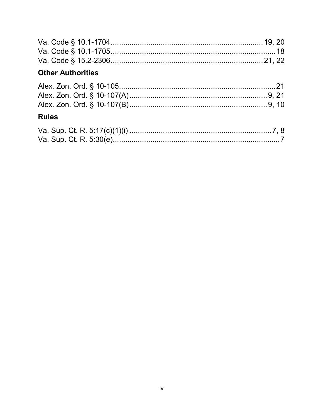| <b>Other Authorities</b> |  |
|--------------------------|--|

| the contract of the contract of the contract of the contract of the contract of |  |
|---------------------------------------------------------------------------------|--|
|                                                                                 |  |
|                                                                                 |  |
|                                                                                 |  |

# **Rules**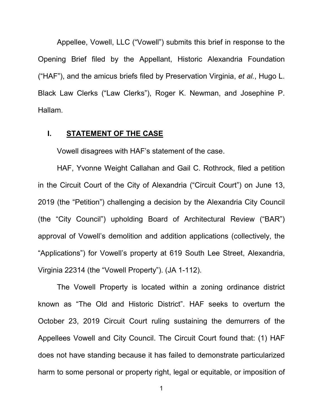Appellee, Vowell, LLC ("Vowell") submits this brief in response to the Opening Brief filed by the Appellant, Historic Alexandria Foundation ("HAF"), and the amicus briefs filed by Preservation Virginia, *et al.*, Hugo L. Black Law Clerks ("Law Clerks"), Roger K. Newman, and Josephine P. Hallam.

#### **I. STATEMENT OF THE CASE**

Vowell disagrees with HAF's statement of the case.

HAF, Yvonne Weight Callahan and Gail C. Rothrock, filed a petition in the Circuit Court of the City of Alexandria ("Circuit Court") on June 13, 2019 (the "Petition") challenging a decision by the Alexandria City Council (the "City Council") upholding Board of Architectural Review ("BAR") approval of Vowell's demolition and addition applications (collectively, the "Applications") for Vowell's property at 619 South Lee Street, Alexandria, Virginia 22314 (the "Vowell Property"). (JA 1-112).

The Vowell Property is located within a zoning ordinance district known as "The Old and Historic District". HAF seeks to overturn the October 23, 2019 Circuit Court ruling sustaining the demurrers of the Appellees Vowell and City Council. The Circuit Court found that: (1) HAF does not have standing because it has failed to demonstrate particularized harm to some personal or property right, legal or equitable, or imposition of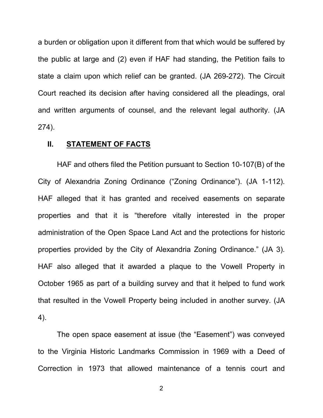a burden or obligation upon it different from that which would be suffered by the public at large and (2) even if HAF had standing, the Petition fails to state a claim upon which relief can be granted. (JA 269-272). The Circuit Court reached its decision after having considered all the pleadings, oral and written arguments of counsel, and the relevant legal authority. (JA 274).

#### **II. STATEMENT OF FACTS**

HAF and others filed the Petition pursuant to Section 10-107(B) of the City of Alexandria Zoning Ordinance ("Zoning Ordinance"). (JA 1-112). HAF alleged that it has granted and received easements on separate properties and that it is "therefore vitally interested in the proper administration of the Open Space Land Act and the protections for historic properties provided by the City of Alexandria Zoning Ordinance." (JA 3). HAF also alleged that it awarded a plaque to the Vowell Property in October 1965 as part of a building survey and that it helped to fund work that resulted in the Vowell Property being included in another survey. (JA 4).

The open space easement at issue (the "Easement") was conveyed to the Virginia Historic Landmarks Commission in 1969 with a Deed of Correction in 1973 that allowed maintenance of a tennis court and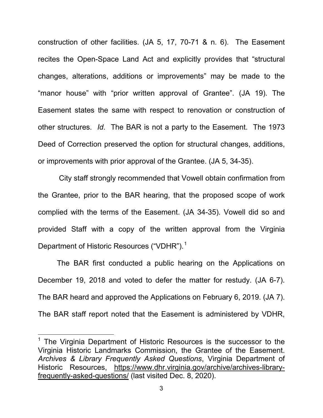construction of other facilities. (JA 5, 17, 70-71 & n. 6). The Easement recites the Open-Space Land Act and explicitly provides that "structural changes, alterations, additions or improvements" may be made to the "manor house" with "prior written approval of Grantee". (JA 19). The Easement states the same with respect to renovation or construction of other structures. *Id*. The BAR is not a party to the Easement. The 1973 Deed of Correction preserved the option for structural changes, additions, or improvements with prior approval of the Grantee. (JA 5, 34-35).

City staff strongly recommended that Vowell obtain confirmation from the Grantee, prior to the BAR hearing, that the proposed scope of work complied with the terms of the Easement. (JA 34-35). Vowell did so and provided Staff with a copy of the written approval from the Virginia Department of Historic Resources ("VDHR").<sup>[1](#page-6-0)</sup>

The BAR first conducted a public hearing on the Applications on December 19, 2018 and voted to defer the matter for restudy. (JA 6-7). The BAR heard and approved the Applications on February 6, 2019. (JA 7). The BAR staff report noted that the Easement is administered by VDHR,

l

<span id="page-6-0"></span> $1$  The Virginia Department of Historic Resources is the successor to the Virginia Historic Landmarks Commission, the Grantee of the Easement. *Archives & Library Frequently Asked Questions*, Virginia Department of Historic Resources, [https://www.dhr.virginia.gov/archive/archives-library](https://www.dhr.virginia.gov/archive/archives-library-frequently-asked-questions/)[frequently-asked-questions/](https://www.dhr.virginia.gov/archive/archives-library-frequently-asked-questions/) (last visited Dec. 8, 2020).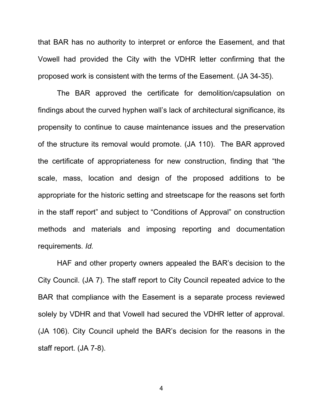that BAR has no authority to interpret or enforce the Easement, and that Vowell had provided the City with the VDHR letter confirming that the proposed work is consistent with the terms of the Easement. (JA 34-35).

The BAR approved the certificate for demolition/capsulation on findings about the curved hyphen wall's lack of architectural significance, its propensity to continue to cause maintenance issues and the preservation of the structure its removal would promote. (JA 110). The BAR approved the certificate of appropriateness for new construction, finding that "the scale, mass, location and design of the proposed additions to be appropriate for the historic setting and streetscape for the reasons set forth in the staff report" and subject to "Conditions of Approval" on construction methods and materials and imposing reporting and documentation requirements. *Id.* 

HAF and other property owners appealed the BAR's decision to the City Council. (JA 7). The staff report to City Council repeated advice to the BAR that compliance with the Easement is a separate process reviewed solely by VDHR and that Vowell had secured the VDHR letter of approval. (JA 106). City Council upheld the BAR's decision for the reasons in the staff report. (JA 7-8).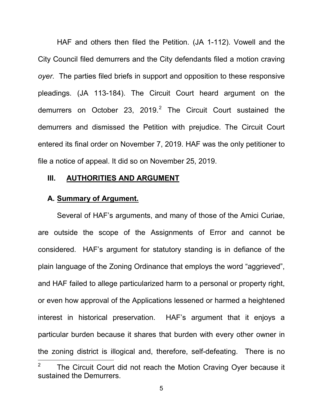HAF and others then filed the Petition. (JA 1-112). Vowell and the City Council filed demurrers and the City defendants filed a motion craving *oyer*. The parties filed briefs in support and opposition to these responsive pleadings. (JA 113-184). The Circuit Court heard argument on the demurrers on October [2](#page-8-0)3, 2019.<sup>2</sup> The Circuit Court sustained the demurrers and dismissed the Petition with prejudice. The Circuit Court entered its final order on November 7, 2019. HAF was the only petitioner to file a notice of appeal. It did so on November 25, 2019.

#### **III. AUTHORITIES AND ARGUMENT**

#### **A. Summary of Argument.**

<span id="page-8-0"></span>Several of HAF's arguments, and many of those of the Amici Curiae, are outside the scope of the Assignments of Error and cannot be considered. HAF's argument for statutory standing is in defiance of the plain language of the Zoning Ordinance that employs the word "aggrieved", and HAF failed to allege particularized harm to a personal or property right, or even how approval of the Applications lessened or harmed a heightened interest in historical preservation. HAF's argument that it enjoys a particular burden because it shares that burden with every other owner in the zoning district is illogical and, therefore, self-defeating. There is no<br>  $\frac{1}{2}$  The Circuit Court did not reach the Motion Craving Oyer because it sustained the Demurrers.

<sup>5</sup>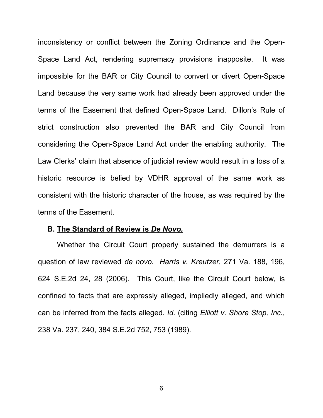inconsistency or conflict between the Zoning Ordinance and the Open-Space Land Act, rendering supremacy provisions inapposite. It was impossible for the BAR or City Council to convert or divert Open-Space Land because the very same work had already been approved under the terms of the Easement that defined Open-Space Land. Dillon's Rule of strict construction also prevented the BAR and City Council from considering the Open-Space Land Act under the enabling authority. The Law Clerks' claim that absence of judicial review would result in a loss of a historic resource is belied by VDHR approval of the same work as consistent with the historic character of the house, as was required by the terms of the Easement.

#### **B. The Standard of Review is** *De Novo.*

Whether the Circuit Court properly sustained the demurrers is a question of law reviewed *de novo*. *Harris v. Kreutzer*, 271 Va. 188, 196, 624 S.E.2d 24, 28 (2006). This Court, like the Circuit Court below, is confined to facts that are expressly alleged, impliedly alleged, and which can be inferred from the facts alleged. *Id.* (citing *Elliott v. Shore Stop, Inc.*, 238 Va. 237, 240, 384 S.E.2d 752, 753 (1989).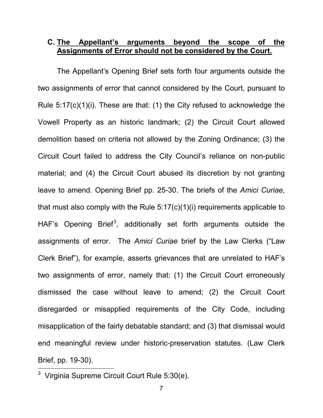#### **C. The Appellant's arguments beyond the scope of the Assignments of Error should not be considered by the Court.**

The Appellant's Opening Brief sets forth four arguments outside the two assignments of error that cannot considered by the Court, pursuant to Rule 5:17(c)(1)(i). These are that: (1) the City refused to acknowledge the Vowell Property as an historic landmark; (2) the Circuit Court allowed demolition based on criteria not allowed by the Zoning Ordinance; (3) the Circuit Court failed to address the City Council's reliance on non-public material; and (4) the Circuit Court abused its discretion by not granting leave to amend. Opening Brief pp. 25-30. The briefs of the *Amici Curiae*, that must also comply with the Rule 5:17(c)(1)(i) requirements applicable to HAF's Opening Brief<sup>[3](#page-10-0)</sup>, additionally set forth arguments outside the assignments of error. The *Amici Curiae* brief by the Law Clerks ("Law Clerk Brief"), for example, asserts grievances that are unrelated to HAF's two assignments of error, namely that: (1) the Circuit Court erroneously dismissed the case without leave to amend; (2) the Circuit Court disregarded or misapplied requirements of the City Code, including misapplication of the fairly debatable standard; and (3) that dismissal would end meaningful review under historic-preservation statutes. (Law Clerk Brief, pp. 19-30).

<span id="page-10-0"></span> $3$  Virginia Supreme Circuit Court Rule 5:30(e).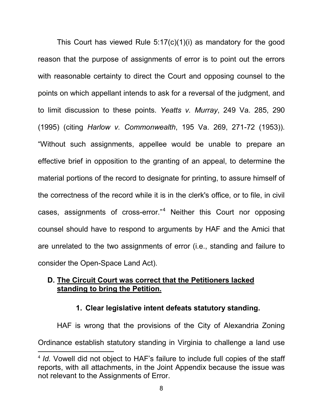This Court has viewed Rule 5:17(c)(1)(i) as mandatory for the good reason that the purpose of assignments of error is to point out the errors with reasonable certainty to direct the Court and opposing counsel to the points on which appellant intends to ask for a reversal of the judgment, and to limit discussion to these points. *Yeatts v. Murray*, 249 Va. 285, 290 (1995) (citing *Harlow v. Commonwealth*, 195 Va. 269, 271-72 (1953)). "Without such assignments, appellee would be unable to prepare an effective brief in opposition to the granting of an appeal, to determine the material portions of the record to designate for printing, to assure himself of the correctness of the record while it is in the clerk's office, or to file, in civil cases, assignments of cross-error."<sup>[4](#page-11-0)</sup> Neither this Court nor opposing counsel should have to respond to arguments by HAF and the Amici that are unrelated to the two assignments of error (i.e., standing and failure to consider the Open-Space Land Act).

### **D. The Circuit Court was correct that the Petitioners lacked standing to bring the Petition.**

#### **1. Clear legislative intent defeats statutory standing.**

HAF is wrong that the provisions of the City of Alexandria Zoning Ordinance establish statutory standing in Virginia to challenge a land use

l

<span id="page-11-0"></span><sup>4</sup> *Id.* Vowell did not object to HAF's failure to include full copies of the staff reports, with all attachments, in the Joint Appendix because the issue was not relevant to the Assignments of Error.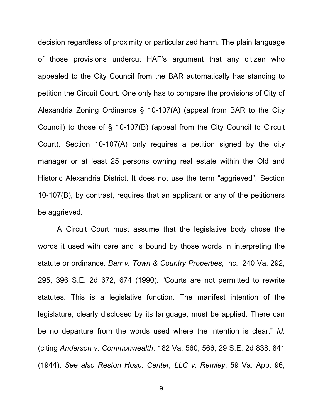decision regardless of proximity or particularized harm. The plain language of those provisions undercut HAF's argument that any citizen who appealed to the City Council from the BAR automatically has standing to petition the Circuit Court. One only has to compare the provisions of City of Alexandria Zoning Ordinance § 10-107(A) (appeal from BAR to the City Council) to those of § 10-107(B) (appeal from the City Council to Circuit Court). Section 10-107(A) only requires a petition signed by the city manager or at least 25 persons owning real estate within the Old and Historic Alexandria District. It does not use the term "aggrieved". Section 10-107(B), by contrast, requires that an applicant or any of the petitioners be aggrieved.

 A Circuit Court must assume that the legislative body chose the words it used with care and is bound by those words in interpreting the statute or ordinance. *Barr v. Town & Country Properties*, Inc., 240 Va. 292, 295, 396 S.E. 2d 672, 674 (1990). "Courts are not permitted to rewrite statutes. This is a legislative function. The manifest intention of the legislature, clearly disclosed by its language, must be applied. There can be no departure from the words used where the intention is clear." *Id.* (citing *Anderson v. Commonwealth*, 182 Va. 560, 566, 29 S.E. 2d 838, 841 (1944). *See also Reston Hosp. Center, LLC v. Remley*, 59 Va. App. 96,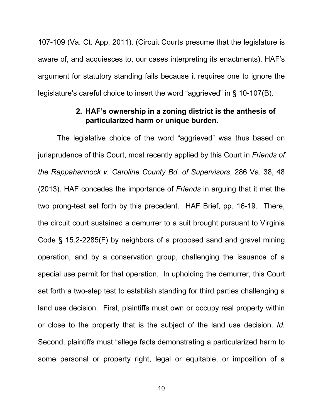107-109 (Va. Ct. App. 2011). (Circuit Courts presume that the legislature is aware of, and acquiesces to, our cases interpreting its enactments). HAF's argument for statutory standing fails because it requires one to ignore the legislature's careful choice to insert the word "aggrieved" in § 10-107(B).

#### **2. HAF's ownership in a zoning district is the anthesis of particularized harm or unique burden.**

The legislative choice of the word "aggrieved" was thus based on jurisprudence of this Court, most recently applied by this Court in *Friends of the Rappahannock v. Caroline County Bd. of Supervisors*, 286 Va. 38, 48 (2013). HAF concedes the importance of *Friends* in arguing that it met the two prong-test set forth by this precedent. HAF Brief, pp. 16-19. There, the circuit court sustained a demurrer to a suit brought pursuant to Virginia Code § 15.2-2285(F) by neighbors of a proposed sand and gravel mining operation, and by a conservation group, challenging the issuance of a special use permit for that operation. In upholding the demurrer, this Court set forth a two-step test to establish standing for third parties challenging a land use decision. First, plaintiffs must own or occupy real property within or close to the property that is the subject of the land use decision. *Id.* Second, plaintiffs must "allege facts demonstrating a particularized harm to some personal or property right, legal or equitable, or imposition of a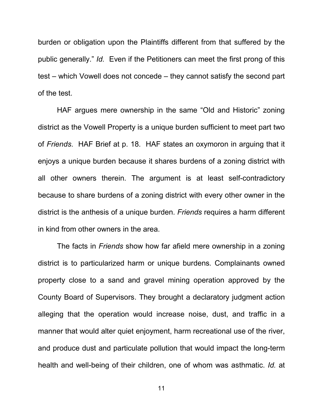burden or obligation upon the Plaintiffs different from that suffered by the public generally." *Id.* Even if the Petitioners can meet the first prong of this test – which Vowell does not concede – they cannot satisfy the second part of the test.

HAF argues mere ownership in the same "Old and Historic" zoning district as the Vowell Property is a unique burden sufficient to meet part two of *Friends*. HAF Brief at p. 18. HAF states an oxymoron in arguing that it enjoys a unique burden because it shares burdens of a zoning district with all other owners therein. The argument is at least self-contradictory because to share burdens of a zoning district with every other owner in the district is the anthesis of a unique burden. *Friends* requires a harm different in kind from other owners in the area.

The facts in *Friends* show how far afield mere ownership in a zoning district is to particularized harm or unique burdens*.* Complainants owned property close to a sand and gravel mining operation approved by the County Board of Supervisors. They brought a declaratory judgment action alleging that the operation would increase noise, dust, and traffic in a manner that would alter quiet enjoyment, harm recreational use of the river, and produce dust and particulate pollution that would impact the long-term health and well-being of their children, one of whom was asthmatic. *Id.* at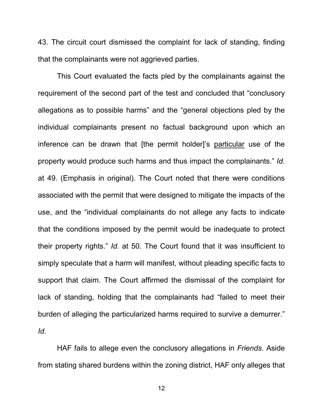43. The circuit court dismissed the complaint for lack of standing, finding that the complainants were not aggrieved parties.

This Court evaluated the facts pled by the complainants against the requirement of the second part of the test and concluded that "conclusory allegations as to possible harms" and the "general objections pled by the individual complainants present no factual background upon which an inference can be drawn that [the permit holder]'s particular use of the property would produce such harms and thus impact the complainants." *Id.*  at 49. (Emphasis in original). The Court noted that there were conditions associated with the permit that were designed to mitigate the impacts of the use, and the "individual complainants do not allege any facts to indicate that the conditions imposed by the permit would be inadequate to protect their property rights." *Id.* at 50. The Court found that it was insufficient to simply speculate that a harm will manifest, without pleading specific facts to support that claim. The Court affirmed the dismissal of the complaint for lack of standing, holding that the complainants had "failed to meet their burden of alleging the particularized harms required to survive a demurrer." *Id.*

HAF fails to allege even the conclusory allegations in *Friends*. Aside from stating shared burdens within the zoning district, HAF only alleges that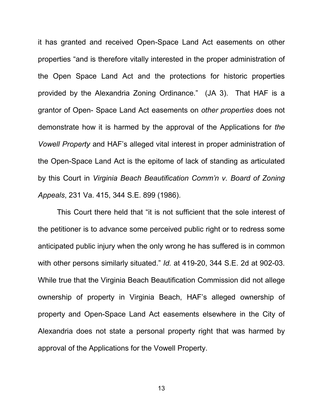it has granted and received Open-Space Land Act easements on other properties "and is therefore vitally interested in the proper administration of the Open Space Land Act and the protections for historic properties provided by the Alexandria Zoning Ordinance." (JA 3). That HAF is a grantor of Open- Space Land Act easements on *other properties* does not demonstrate how it is harmed by the approval of the Applications for *the Vowell Property* and HAF's alleged vital interest in proper administration of the Open-Space Land Act is the epitome of lack of standing as articulated by this Court in *Virginia Beach Beautification Comm'n v. Board of Zoning Appeals*, 231 Va. 415, 344 S.E. 899 (1986).

This Court there held that "it is not sufficient that the sole interest of the petitioner is to advance some perceived public right or to redress some anticipated public injury when the only wrong he has suffered is in common with other persons similarly situated." *Id.* at 419-20, 344 S.E. 2d at 902-03. While true that the Virginia Beach Beautification Commission did not allege ownership of property in Virginia Beach, HAF's alleged ownership of property and Open-Space Land Act easements elsewhere in the City of Alexandria does not state a personal property right that was harmed by approval of the Applications for the Vowell Property.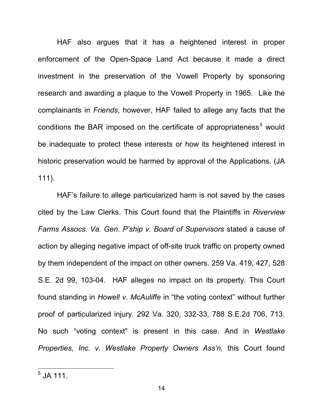HAF also argues that it has a heightened interest in proper enforcement of the Open-Space Land Act because it made a direct investment in the preservation of the Vowell Property by sponsoring research and awarding a plaque to the Vowell Property in 1965. Like the complainants in *Friends*, however, HAF failed to allege any facts that the conditions the BAR imposed on the certificate of appropriateness<sup>[5](#page-17-0)</sup> would be inadequate to protect these interests or how its heightened interest in historic preservation would be harmed by approval of the Applications. (JA 111).

HAF's failure to allege particularized harm is not saved by the cases cited by the Law Clerks. This Court found that the Plaintiffs in *Riverview Farms Assocs. Va. Gen. P'ship v. Board of Supervisors* stated a cause of action by alleging negative impact of off-site truck traffic on property owned by them independent of the impact on other owners. 259 Va. 419, 427, 528 S.E. 2d 99, 103-04. HAF alleges no impact on its property. This Court found standing in *Howell v. McAuliffe* in "the voting context" without further proof of particularized injury. 292 Va. 320, 332-33, 788 S.E.2d 706, 713. No such "voting context" is present in this case. And in *Westlake Properties, Inc. v. Westlake Property Owners Ass'n,* this Court found

 $\overline{\phantom{a}}$ 

<span id="page-17-0"></span> $^5$  JA 111.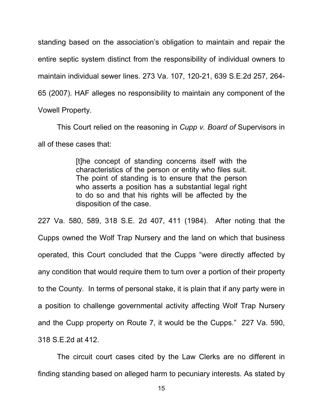standing based on the association's obligation to maintain and repair the entire septic system distinct from the responsibility of individual owners to maintain individual sewer lines. 273 Va. 107, 120-21, 639 S.E.2d 257, 264- 65 (2007). HAF alleges no responsibility to maintain any component of the Vowell Property.

This Court relied on the reasoning in *Cupp v. Board of* Supervisors in all of these cases that:

> [t]he concept of standing concerns itself with the characteristics of the person or entity who files suit. The point of standing is to ensure that the person who asserts a position has a substantial legal right to do so and that his rights will be affected by the disposition of the case.

227 Va. 580, 589, 318 S.E. 2d 407, 411 (1984). After noting that the Cupps owned the Wolf Trap Nursery and the land on which that business operated, this Court concluded that the Cupps "were directly affected by any condition that would require them to turn over a portion of their property to the County. In terms of personal stake, it is plain that if any party were in a position to challenge governmental activity affecting Wolf Trap Nursery and the Cupp property on Route 7, it would be the Cupps." 227 Va. 590, 318 S.E.2d at 412.

The circuit court cases cited by the Law Clerks are no different in finding standing based on alleged harm to pecuniary interests. As stated by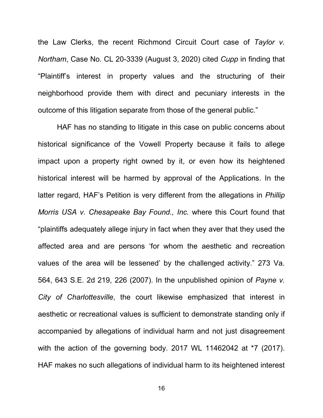the Law Clerks, the recent Richmond Circuit Court case of *Taylor v. Northam*, Case No. CL 20-3339 (August 3, 2020) cited *Cupp* in finding that "Plaintiff's interest in property values and the structuring of their neighborhood provide them with direct and pecuniary interests in the outcome of this litigation separate from those of the general public."

HAF has no standing to litigate in this case on public concerns about historical significance of the Vowell Property because it fails to allege impact upon a property right owned by it, or even how its heightened historical interest will be harmed by approval of the Applications. In the latter regard, HAF's Petition is very different from the allegations in *Phillip Morris USA v. Chesapeake Bay Found., Inc.* where this Court found that "plaintiffs adequately allege injury in fact when they aver that they used the affected area and are persons 'for whom the aesthetic and recreation values of the area will be lessened' by the challenged activity." 273 Va. 564, 643 S.E. 2d 219, 226 (2007). In the unpublished opinion of *Payne v. City of Charlottesville*, the court likewise emphasized that interest in aesthetic or recreational values is sufficient to demonstrate standing only if accompanied by allegations of individual harm and not just disagreement with the action of the governing body. 2017 WL 11462042 at \*7 (2017). HAF makes no such allegations of individual harm to its heightened interest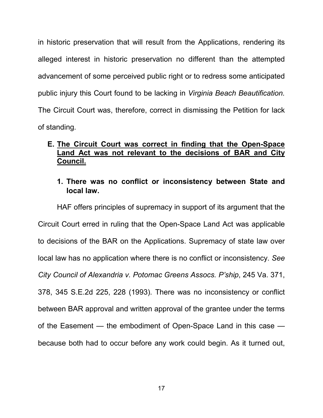in historic preservation that will result from the Applications, rendering its alleged interest in historic preservation no different than the attempted advancement of some perceived public right or to redress some anticipated public injury this Court found to be lacking in *Virginia Beach Beautification.* The Circuit Court was, therefore, correct in dismissing the Petition for lack of standing.

### **E. The Circuit Court was correct in finding that the Open-Space Land Act was not relevant to the decisions of BAR and City Council.**

### **1. There was no conflict or inconsistency between State and local law.**

HAF offers principles of supremacy in support of its argument that the Circuit Court erred in ruling that the Open-Space Land Act was applicable to decisions of the BAR on the Applications. Supremacy of state law over local law has no application where there is no conflict or inconsistency. *See City Council of Alexandria v. Potomac Greens Assocs. P'ship*, 245 Va. 371, 378, 345 S.E.2d 225, 228 (1993). There was no inconsistency or conflict between BAR approval and written approval of the grantee under the terms of the Easement — the embodiment of Open-Space Land in this case because both had to occur before any work could begin. As it turned out,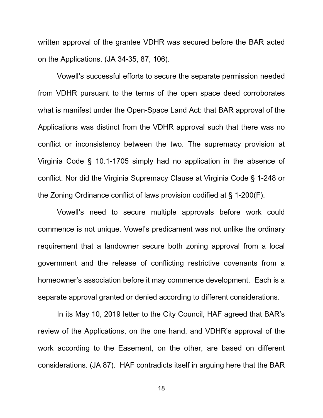written approval of the grantee VDHR was secured before the BAR acted on the Applications. (JA 34-35, 87, 106).

Vowell's successful efforts to secure the separate permission needed from VDHR pursuant to the terms of the open space deed corroborates what is manifest under the Open-Space Land Act: that BAR approval of the Applications was distinct from the VDHR approval such that there was no conflict or inconsistency between the two. The supremacy provision at Virginia Code § 10.1-1705 simply had no application in the absence of conflict. Nor did the Virginia Supremacy Clause at Virginia Code § 1-248 or the Zoning Ordinance conflict of laws provision codified at § 1-200(F).

Vowell's need to secure multiple approvals before work could commence is not unique. Vowel's predicament was not unlike the ordinary requirement that a landowner secure both zoning approval from a local government and the release of conflicting restrictive covenants from a homeowner's association before it may commence development. Each is a separate approval granted or denied according to different considerations.

In its May 10, 2019 letter to the City Council, HAF agreed that BAR's review of the Applications, on the one hand, and VDHR's approval of the work according to the Easement, on the other, are based on different considerations. (JA 87). HAF contradicts itself in arguing here that the BAR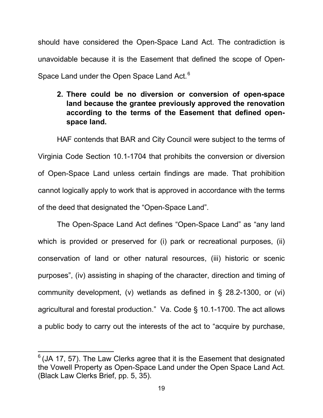should have considered the Open-Space Land Act. The contradiction is unavoidable because it is the Easement that defined the scope of Open-Space Land under the Open Space Land Act.<sup>[6](#page-22-0)</sup>

# **2. There could be no diversion or conversion of open-space land because the grantee previously approved the renovation according to the terms of the Easement that defined openspace land.**

HAF contends that BAR and City Council were subject to the terms of Virginia Code Section 10.1-1704 that prohibits the conversion or diversion of Open-Space Land unless certain findings are made. That prohibition cannot logically apply to work that is approved in accordance with the terms of the deed that designated the "Open-Space Land".

The Open-Space Land Act defines "Open-Space Land" as "any land which is provided or preserved for (i) park or recreational purposes, (ii) conservation of land or other natural resources, (iii) historic or scenic purposes", (iv) assisting in shaping of the character, direction and timing of community development, (v) wetlands as defined in § 28.2-1300, or (vi) agricultural and forestal production." Va. Code § 10.1-1700. The act allows a public body to carry out the interests of the act to "acquire by purchase,

l

<span id="page-22-0"></span> $6$  (JA 17, 57). The Law Clerks agree that it is the Easement that designated the Vowell Property as Open-Space Land under the Open Space Land Act. (Black Law Clerks Brief, pp. 5, 35).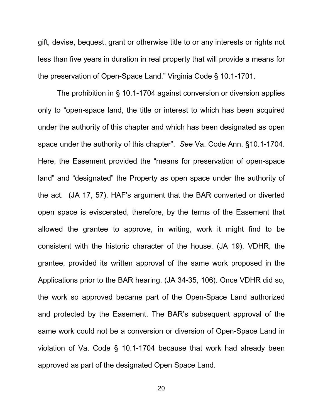gift, devise, bequest, grant or otherwise title to or any interests or rights not less than five years in duration in real property that will provide a means for the preservation of Open-Space Land." Virginia Code § 10.1-1701.

The prohibition in § 10.1-1704 against conversion or diversion applies only to "open-space land, the title or interest to which has been acquired under the authority of this chapter and which has been designated as open space under the authority of this chapter". *See* Va. Code Ann. §10.1-1704. Here, the Easement provided the "means for preservation of open-space land" and "designated" the Property as open space under the authority of the act. (JA 17, 57). HAF's argument that the BAR converted or diverted open space is eviscerated, therefore, by the terms of the Easement that allowed the grantee to approve, in writing, work it might find to be consistent with the historic character of the house. (JA 19). VDHR, the grantee, provided its written approval of the same work proposed in the Applications prior to the BAR hearing. (JA 34-35, 106). Once VDHR did so, the work so approved became part of the Open-Space Land authorized and protected by the Easement. The BAR's subsequent approval of the same work could not be a conversion or diversion of Open-Space Land in violation of Va. Code § 10.1-1704 because that work had already been approved as part of the designated Open Space Land.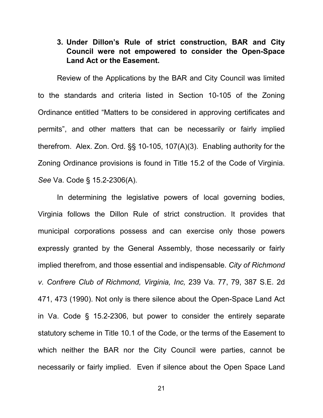## **3. Under Dillon's Rule of strict construction, BAR and City Council were not empowered to consider the Open-Space Land Act or the Easement.**

Review of the Applications by the BAR and City Council was limited to the standards and criteria listed in Section 10-105 of the Zoning Ordinance entitled "Matters to be considered in approving certificates and permits", and other matters that can be necessarily or fairly implied therefrom. Alex. Zon. Ord. §§ 10-105, 107(A)(3). Enabling authority for the Zoning Ordinance provisions is found in Title 15.2 of the Code of Virginia. *See* Va. Code § 15.2-2306(A).

In determining the legislative powers of local governing bodies, Virginia follows the Dillon Rule of strict construction. It provides that municipal corporations possess and can exercise only those powers expressly granted by the General Assembly, those necessarily or fairly implied therefrom, and those essential and indispensable. *City of Richmond v. Confrere Club of Richmond, Virginia, Inc,* 239 Va. 77, 79, 387 S.E. 2d 471, 473 (1990). Not only is there silence about the Open-Space Land Act in Va. Code § 15.2-2306, but power to consider the entirely separate statutory scheme in Title 10.1 of the Code, or the terms of the Easement to which neither the BAR nor the City Council were parties, cannot be necessarily or fairly implied. Even if silence about the Open Space Land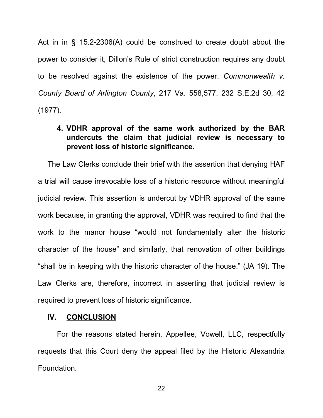Act in in § 15.2-2306(A) could be construed to create doubt about the power to consider it, Dillon's Rule of strict construction requires any doubt to be resolved against the existence of the power. *Commonwealth v. County Board of Arlington County*, 217 Va. 558,577, 232 S.E.2d 30, 42 (1977).

# **4. VDHR approval of the same work authorized by the BAR undercuts the claim that judicial review is necessary to prevent loss of historic significance.**

The Law Clerks conclude their brief with the assertion that denying HAF a trial will cause irrevocable loss of a historic resource without meaningful judicial review. This assertion is undercut by VDHR approval of the same work because, in granting the approval, VDHR was required to find that the work to the manor house "would not fundamentally alter the historic character of the house" and similarly, that renovation of other buildings "shall be in keeping with the historic character of the house." (JA 19). The Law Clerks are, therefore, incorrect in asserting that judicial review is required to prevent loss of historic significance.

#### **IV. CONCLUSION**

For the reasons stated herein, Appellee, Vowell, LLC, respectfully requests that this Court deny the appeal filed by the Historic Alexandria Foundation.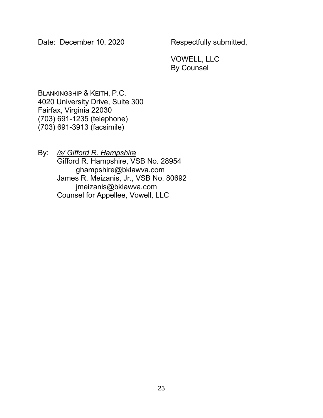Date: December 10, 2020 Respectfully submitted,

VOWELL, LLC By Counsel

BLANKINGSHIP & KEITH, P.C. 4020 University Drive, Suite 300 Fairfax, Virginia 22030 (703) 691-1235 (telephone) (703) 691-3913 (facsimile)

By: */s/ Gifford R. Hampshire* Gifford R. Hampshire, VSB No. 28954 ghampshire@bklawva.com James R. Meizanis, Jr., VSB No. 80692 jmeizanis@bklawva.com Counsel for Appellee, Vowell, LLC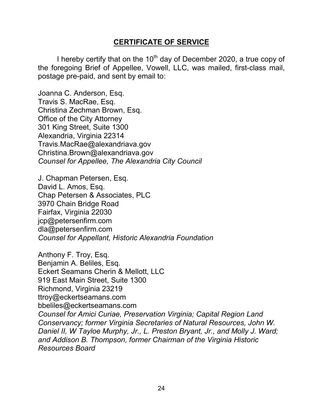## **CERTIFICATE OF SERVICE**

I hereby certify that on the  $10<sup>th</sup>$  day of December 2020, a true copy of the foregoing Brief of Appellee, Vowell, LLC, was mailed, first-class mail, postage pre-paid, and sent by email to:

Joanna C. Anderson, Esq. Travis S. MacRae, Esq. Christina Zechman Brown, Esq. Office of the City Attorney 301 King Street, Suite 1300 Alexandria, Virginia 22314 Travis.MacRae@alexandriava.gov Christina.Brown@alexandriava.gov *Counsel for Appellee, The Alexandria City Council*

J. Chapman Petersen, Esq. David L. Amos, Esq. Chap Petersen & Associates, PLC 3970 Chain Bridge Road Fairfax, Virginia 22030 jcp@petersenfirm.com dla@petersenfirm.com *Counsel for Appellant, Historic Alexandria Foundation*

Anthony F. Troy, Esq. Benjamin A. Beliles, Esq. Eckert Seamans Cherin & Mellott, LLC 919 East Main Street, Suite 1300 Richmond, Virginia 23219 ttroy@eckertseamans.com bbeliles@eckertseamans.com *Counsel for Amici Curiae, Preservation Virginia; Capital Region Land Conservancy; former Virginia Secretaries of Natural Resources, John W. Daniel II, W Tayloe Murphy, Jr., L. Preston Bryant, Jr., and Molly J. Ward; and Addison B. Thompson, former Chairman of the Virginia Historic Resources Board*